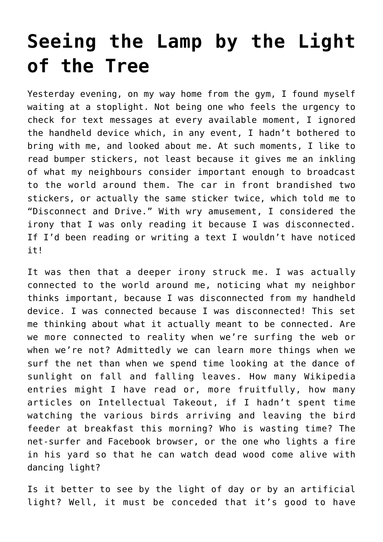## **[Seeing the Lamp by the Light](https://intellectualtakeout.org/2016/11/seeing-the-lamp-by-the-light-of-the-tree/) [of the Tree](https://intellectualtakeout.org/2016/11/seeing-the-lamp-by-the-light-of-the-tree/)**

Yesterday evening, on my way home from the gym, I found myself waiting at a stoplight. Not being one who feels the urgency to check for text messages at every available moment, I ignored the handheld device which, in any event, I hadn't bothered to bring with me, and looked about me. At such moments, I like to read bumper stickers, not least because it gives me an inkling of what my neighbours consider important enough to broadcast to the world around them. The car in front brandished two stickers, or actually the same sticker twice, which told me to "Disconnect and Drive." With wry amusement, I considered the irony that I was only reading it because I was disconnected. If I'd been reading or writing a text I wouldn't have noticed it!

It was then that a deeper irony struck me. I was actually connected to the world around me, noticing what my neighbor thinks important, because I was disconnected from my handheld device. I was connected because I was disconnected! This set me thinking about what it actually meant to be connected. Are we more connected to reality when we're surfing the web or when we're not? Admittedly we can learn more things when we surf the net than when we spend time looking at the dance of sunlight on fall and falling leaves. How many Wikipedia entries might I have read or, more fruitfully, how many articles on Intellectual Takeout, if I hadn't spent time watching the various birds arriving and leaving the bird feeder at breakfast this morning? Who is wasting time? The net-surfer and Facebook browser, or the one who lights a fire in his yard so that he can watch dead wood come alive with dancing light?

Is it better to see by the light of day or by an artificial light? Well, it must be conceded that it's good to have